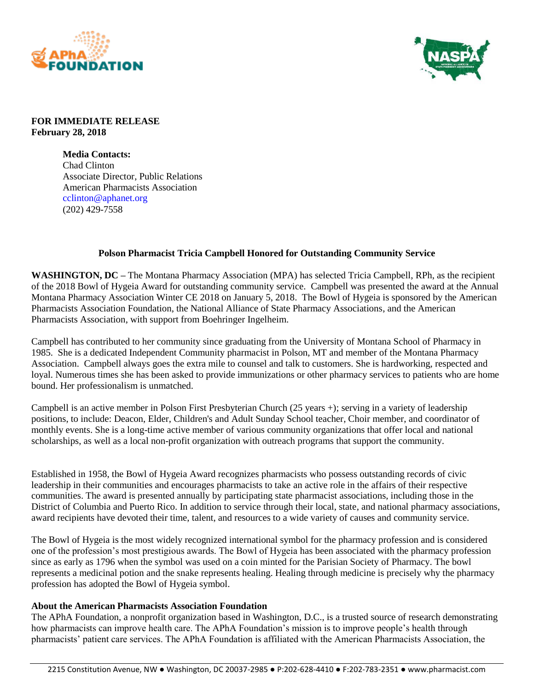



## **FOR IMMEDIATE RELEASE February 28, 2018**

**Media Contacts:** Chad Clinton Associate Director, Public Relations American Pharmacists Association cclinton@aphanet.org (202) 429-7558

## **Polson Pharmacist Tricia Campbell Honored for Outstanding Community Service**

**WASHINGTON, DC –** The Montana Pharmacy Association (MPA) has selected Tricia Campbell, RPh, as the recipient of the 2018 Bowl of Hygeia Award for outstanding community service. Campbell was presented the award at the Annual Montana Pharmacy Association Winter CE 2018 on January 5, 2018. The Bowl of Hygeia is sponsored by the American Pharmacists Association Foundation, the National Alliance of State Pharmacy Associations, and the American Pharmacists Association, with support from Boehringer Ingelheim.

Campbell has contributed to her community since graduating from the University of Montana School of Pharmacy in 1985. She is a dedicated Independent Community pharmacist in Polson, MT and member of the Montana Pharmacy Association. Campbell always goes the extra mile to counsel and talk to customers. She is hardworking, respected and loyal. Numerous times she has been asked to provide immunizations or other pharmacy services to patients who are home bound. Her professionalism is unmatched.

Campbell is an active member in Polson First Presbyterian Church (25 years +); serving in a variety of leadership positions, to include: Deacon, Elder, Children's and Adult Sunday School teacher, Choir member, and coordinator of monthly events. She is a long-time active member of various community organizations that offer local and national scholarships, as well as a local non-profit organization with outreach programs that support the community.

Established in 1958, the Bowl of Hygeia Award recognizes pharmacists who possess outstanding records of civic leadership in their communities and encourages pharmacists to take an active role in the affairs of their respective communities. The award is presented annually by participating state pharmacist associations, including those in the District of Columbia and Puerto Rico. In addition to service through their local, state, and national pharmacy associations, award recipients have devoted their time, talent, and resources to a wide variety of causes and community service.

The Bowl of Hygeia is the most widely recognized international symbol for the pharmacy profession and is considered one of the profession's most prestigious awards. The Bowl of Hygeia has been associated with the pharmacy profession since as early as 1796 when the symbol was used on a coin minted for the Parisian Society of Pharmacy. The bowl represents a medicinal potion and the snake represents healing. Healing through medicine is precisely why the pharmacy profession has adopted the Bowl of Hygeia symbol.

## **About the American Pharmacists Association Foundation**

The APhA Foundation, a nonprofit organization based in Washington, D.C., is a trusted source of research demonstrating how pharmacists can improve health care. The APhA Foundation's mission is to improve people's health through pharmacists' patient care services. The APhA Foundation is affiliated with the American Pharmacists Association, the